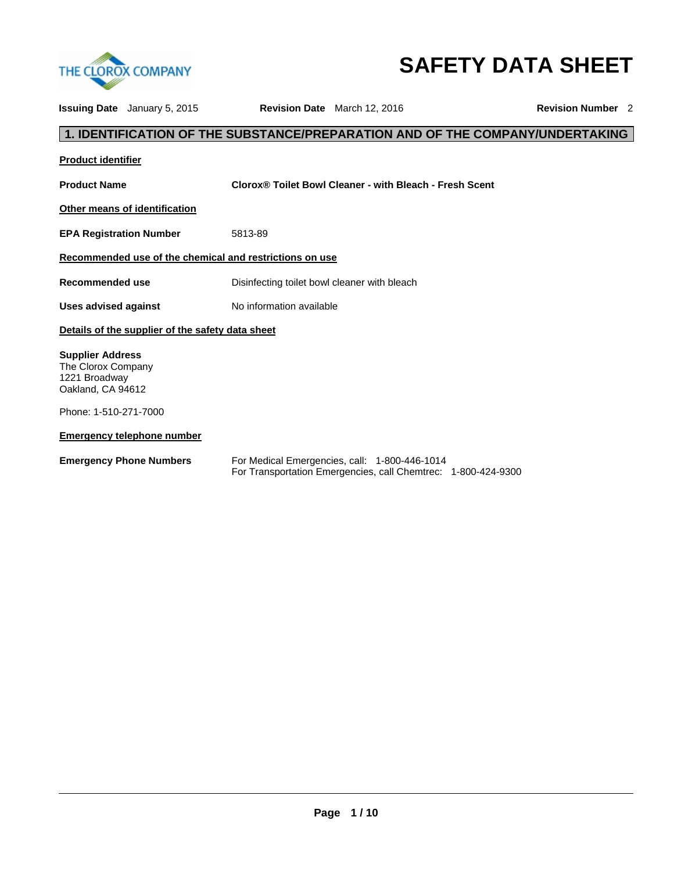

# **SAFETY DATA SHEET**

|                                                                                     | <b>Issuing Date</b> January 5, 2015                     |                                              | <b>Revision Date</b> March 12, 2016                                                                            | <b>Revision Number</b> 2 |  |  |  |
|-------------------------------------------------------------------------------------|---------------------------------------------------------|----------------------------------------------|----------------------------------------------------------------------------------------------------------------|--------------------------|--|--|--|
|                                                                                     |                                                         |                                              | 1. IDENTIFICATION OF THE SUBSTANCE/PREPARATION AND OF THE COMPANY/UNDERTAKING                                  |                          |  |  |  |
| <b>Product identifier</b>                                                           |                                                         |                                              |                                                                                                                |                          |  |  |  |
| <b>Product Name</b>                                                                 |                                                         |                                              | Clorox® Toilet Bowl Cleaner - with Bleach - Fresh Scent                                                        |                          |  |  |  |
|                                                                                     | Other means of identification                           |                                              |                                                                                                                |                          |  |  |  |
| <b>EPA Registration Number</b>                                                      |                                                         | 5813-89                                      |                                                                                                                |                          |  |  |  |
|                                                                                     | Recommended use of the chemical and restrictions on use |                                              |                                                                                                                |                          |  |  |  |
| Recommended use                                                                     |                                                         | Disinfecting toilet bowl cleaner with bleach |                                                                                                                |                          |  |  |  |
| <b>Uses advised against</b>                                                         |                                                         | No information available                     |                                                                                                                |                          |  |  |  |
|                                                                                     | Details of the supplier of the safety data sheet        |                                              |                                                                                                                |                          |  |  |  |
| <b>Supplier Address</b><br>The Clorox Company<br>1221 Broadway<br>Oakland, CA 94612 |                                                         |                                              |                                                                                                                |                          |  |  |  |
| Phone: 1-510-271-7000                                                               |                                                         |                                              |                                                                                                                |                          |  |  |  |
|                                                                                     | <b>Emergency telephone number</b>                       |                                              |                                                                                                                |                          |  |  |  |
|                                                                                     | <b>Emergency Phone Numbers</b>                          |                                              | For Medical Emergencies, call: 1-800-446-1014<br>For Transportation Emergencies, call Chemtrec: 1-800-424-9300 |                          |  |  |  |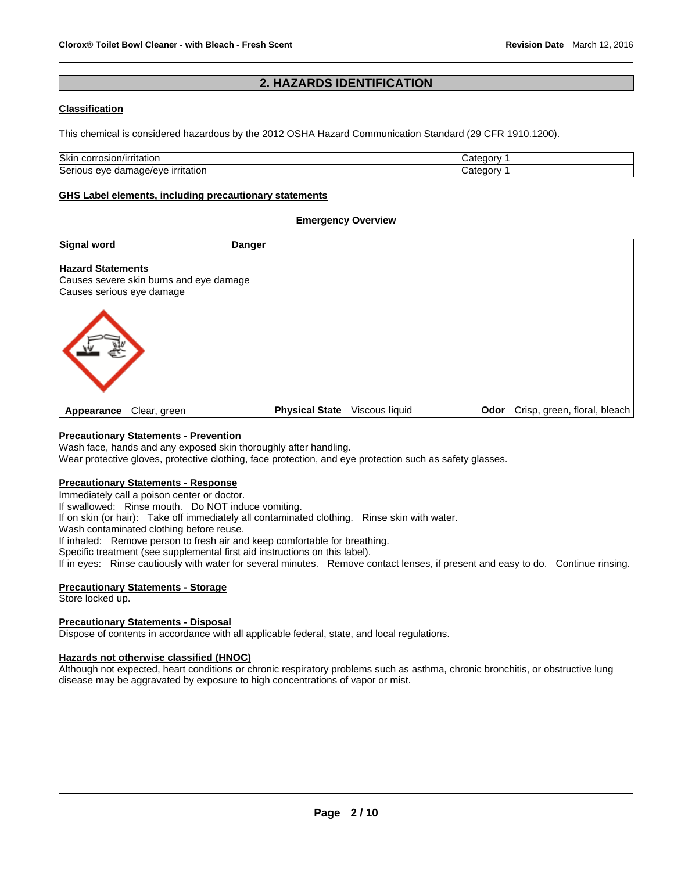# **2. HAZARDS IDENTIFICATION**

# **Classification**

This chemical is considered hazardous by the 2012 OSHA Hazard Communication Standard (29 CFR 1910.1200).

| <b>Skir</b><br>.<br>-COLL<br>Tildliui<br>' I I s<br>ישוכש ו    |              |
|----------------------------------------------------------------|--------------|
| ∽<br>$- - - -$<br>lSer<br>ırrıtatıon<br>າage/eve<br>eve<br>aar | ----<br>- דב |

### **GHS Label elements, including precautionary statements**

### **Emergency Overview**

| <b>Signal word</b>                                                                               | <b>Danger</b>         |                |      |                              |
|--------------------------------------------------------------------------------------------------|-----------------------|----------------|------|------------------------------|
| <b>Hazard Statements</b><br>Causes severe skin burns and eye damage<br>Causes serious eye damage |                       |                |      |                              |
|                                                                                                  |                       |                |      |                              |
| Clear, green<br>Appearance                                                                       | <b>Physical State</b> | Viscous liquid | Odor | Crisp, green, floral, bleach |

# **Precautionary Statements - Prevention**

Wash face, hands and any exposed skin thoroughly after handling.

Wear protective gloves, protective clothing, face protection, and eye protection such as safety glasses.

#### **Precautionary Statements - Response**

Immediately call a poison center or doctor.

If swallowed: Rinse mouth. Do NOT induce vomiting.

If on skin (or hair): Take off immediately all contaminated clothing. Rinse skin with water.

Wash contaminated clothing before reuse.

If inhaled: Remove person to fresh air and keep comfortable for breathing.

Specific treatment (see supplemental first aid instructions on this label).

If in eyes: Rinse cautiously with water for several minutes. Remove contact lenses, if present and easy to do. Continue rinsing.

# **Precautionary Statements - Storage**

Store locked up.

### **Precautionary Statements - Disposal**

Dispose of contents in accordance with all applicable federal, state, and local regulations.

### **Hazards not otherwise classified (HNOC)**

Although not expected, heart conditions or chronic respiratory problems such as asthma, chronic bronchitis, or obstructive lung disease may be aggravated by exposure to high concentrations of vapor or mist.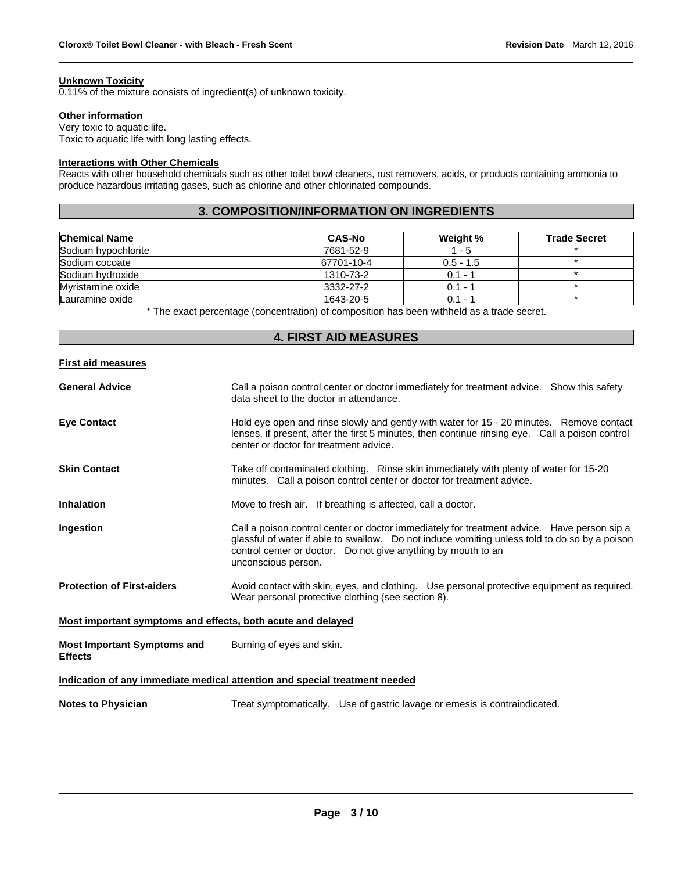### **Unknown Toxicity**

0.11% of the mixture consists of ingredient(s) of unknown toxicity.

#### **Other information**

Very toxic to aquatic life. Toxic to aquatic life with long lasting effects.

# **Interactions with Other Chemicals**

Reacts with other household chemicals such as other toilet bowl cleaners, rust removers, acids, or products containing ammonia to produce hazardous irritating gases, such as chlorine and other chlorinated compounds.

# **3. COMPOSITION/INFORMATION ON INGREDIENTS**

| <b>Chemical Name</b> | <b>CAS-No</b> | Weight %    | <b>Trade Secret</b> |
|----------------------|---------------|-------------|---------------------|
| Sodium hypochlorite  | 7681-52-9     | $1 - 5$     |                     |
| Sodium cocoate       | 67701-10-4    | $0.5 - 1.5$ |                     |
| Sodium hydroxide     | 1310-73-2     | $0.1 - 1$   |                     |
| Myristamine oxide    | 3332-27-2     | $0.1 - ?$   |                     |
| Lauramine oxide      | 1643-20-5     | $0.1 - 1$   |                     |

\* The exact percentage (concentration) of composition has been withheld as a trade secret.

# **4. FIRST AID MEASURES**

### **First aid measures**

| <b>General Advice</b>                                                      | Call a poison control center or doctor immediately for treatment advice. Show this safety<br>data sheet to the doctor in attendance.                                                                                                                                                |  |  |  |
|----------------------------------------------------------------------------|-------------------------------------------------------------------------------------------------------------------------------------------------------------------------------------------------------------------------------------------------------------------------------------|--|--|--|
| <b>Eve Contact</b>                                                         | Hold eye open and rinse slowly and gently with water for 15 - 20 minutes. Remove contact<br>lenses, if present, after the first 5 minutes, then continue rinsing eye. Call a poison control<br>center or doctor for treatment advice.                                               |  |  |  |
| <b>Skin Contact</b>                                                        | Take off contaminated clothing. Rinse skin immediately with plenty of water for 15-20<br>minutes. Call a poison control center or doctor for treatment advice.                                                                                                                      |  |  |  |
| <b>Inhalation</b>                                                          | Move to fresh air. If breathing is affected, call a doctor.                                                                                                                                                                                                                         |  |  |  |
| Ingestion                                                                  | Call a poison control center or doctor immediately for treatment advice. Have person sip a<br>glassful of water if able to swallow. Do not induce vomiting unless told to do so by a poison<br>control center or doctor. Do not give anything by mouth to an<br>unconscious person. |  |  |  |
| <b>Protection of First-aiders</b>                                          | Avoid contact with skin, eyes, and clothing. Use personal protective equipment as required.<br>Wear personal protective clothing (see section 8).                                                                                                                                   |  |  |  |
| Most important symptoms and effects, both acute and delayed                |                                                                                                                                                                                                                                                                                     |  |  |  |
| <b>Most Important Symptoms and</b><br><b>Effects</b>                       | Burning of eyes and skin.                                                                                                                                                                                                                                                           |  |  |  |
| Indication of any immediate medical attention and special treatment needed |                                                                                                                                                                                                                                                                                     |  |  |  |
| <b>Notes to Physician</b>                                                  | Treat symptomatically. Use of gastric lavage or emesis is contraindicated.                                                                                                                                                                                                          |  |  |  |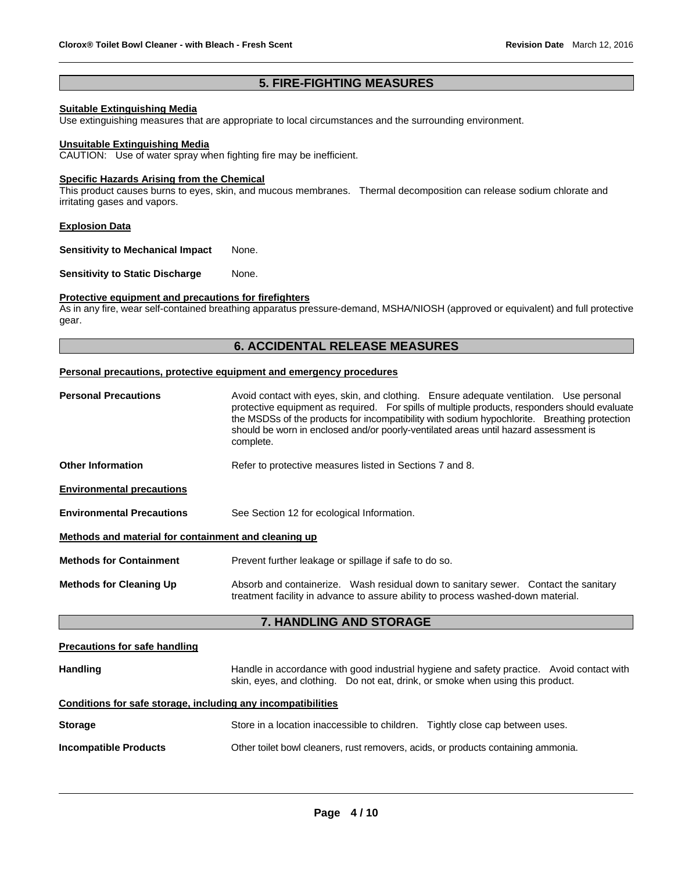# **5. FIRE-FIGHTING MEASURES**

# **Suitable Extinguishing Media**

Use extinguishing measures that are appropriate to local circumstances and the surrounding environment.

#### **Unsuitable Extinguishing Media**

CAUTION: Use of water spray when fighting fire may be inefficient.

#### **Specific Hazards Arising from the Chemical**

This product causes burns to eyes, skin, and mucous membranes. Thermal decomposition can release sodium chlorate and irritating gases and vapors.

#### **Explosion Data**

**Sensitivity to Mechanical Impact None.** 

**Sensitivity to Static Discharge Mone.** 

### **Protective equipment and precautions for firefighters**

As in any fire, wear self-contained breathing apparatus pressure-demand, MSHA/NIOSH (approved or equivalent) and full protective gear.

# **6. ACCIDENTAL RELEASE MEASURES**

#### **Personal precautions, protective equipment and emergency procedures**

| <b>Personal Precautions</b>                          | Avoid contact with eyes, skin, and clothing. Ensure adequate ventilation. Use personal<br>protective equipment as required. For spills of multiple products, responders should evaluate<br>the MSDSs of the products for incompatibility with sodium hypochlorite. Breathing protection<br>should be worn in enclosed and/or poorly-ventilated areas until hazard assessment is<br>complete. |  |  |  |
|------------------------------------------------------|----------------------------------------------------------------------------------------------------------------------------------------------------------------------------------------------------------------------------------------------------------------------------------------------------------------------------------------------------------------------------------------------|--|--|--|
| <b>Other Information</b>                             | Refer to protective measures listed in Sections 7 and 8.                                                                                                                                                                                                                                                                                                                                     |  |  |  |
| <b>Environmental precautions</b>                     |                                                                                                                                                                                                                                                                                                                                                                                              |  |  |  |
| <b>Environmental Precautions</b>                     | See Section 12 for ecological Information.                                                                                                                                                                                                                                                                                                                                                   |  |  |  |
| Methods and material for containment and cleaning up |                                                                                                                                                                                                                                                                                                                                                                                              |  |  |  |
| <b>Methods for Containment</b>                       | Prevent further leakage or spillage if safe to do so.                                                                                                                                                                                                                                                                                                                                        |  |  |  |
| <b>Methods for Cleaning Up</b>                       | Absorb and containerize. Wash residual down to sanitary sewer. Contact the sanitary<br>treatment facility in advance to assure ability to process washed-down material.                                                                                                                                                                                                                      |  |  |  |
| 7. HANDLING AND STORAGE                              |                                                                                                                                                                                                                                                                                                                                                                                              |  |  |  |
|                                                      |                                                                                                                                                                                                                                                                                                                                                                                              |  |  |  |

#### **Precautions for safe handling**

| <b>Handling</b> | Handle in accordance with good industrial hygiene and safety practice. Avoid contact with |  |  |
|-----------------|-------------------------------------------------------------------------------------------|--|--|
|                 | skin, eyes, and clothing. Do not eat, drink, or smoke when using this product.            |  |  |

# **Conditions for safe storage, including any incompatibilities**

| <b>Storage</b>               | Store in a location inaccessible to children. Tightly close cap between uses.     |  |
|------------------------------|-----------------------------------------------------------------------------------|--|
| <b>Incompatible Products</b> | Other toilet bowl cleaners, rust removers, acids, or products containing ammonia. |  |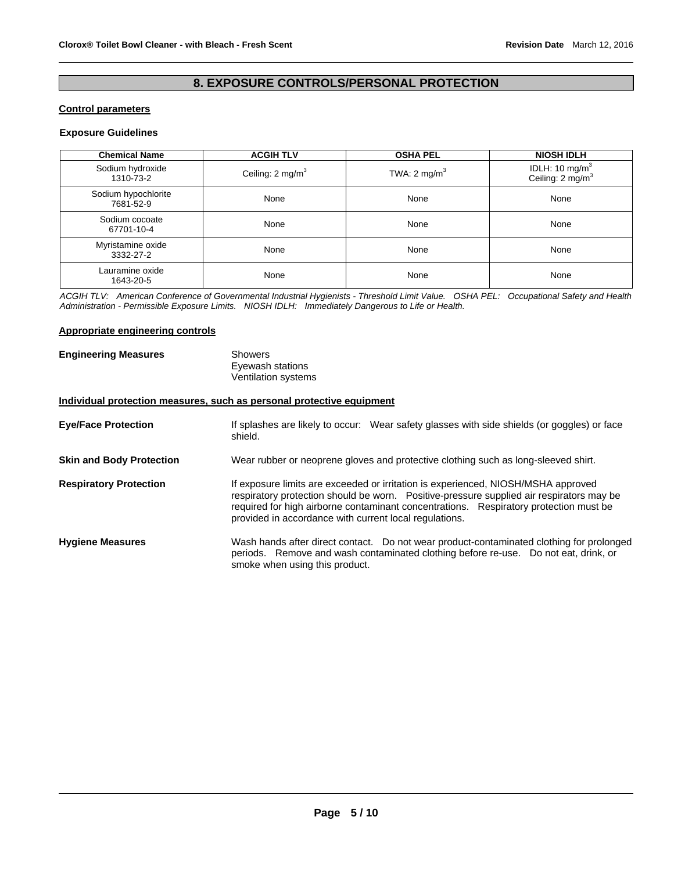# **8. EXPOSURE CONTROLS/PERSONAL PROTECTION**

# **Control parameters**

# **Exposure Guidelines**

| <b>Chemical Name</b>             | <b>ACGIH TLV</b>            | <b>OSHA PEL</b>         | <b>NIOSH IDLH</b>                                 |
|----------------------------------|-----------------------------|-------------------------|---------------------------------------------------|
| Sodium hydroxide<br>1310-73-2    | Ceiling: $2 \text{ mg/m}^3$ | TWA: $2 \text{ mg/m}^3$ | IDLH: 10 mg/m $3$<br>Ceiling: 2 mg/m <sup>3</sup> |
| Sodium hypochlorite<br>7681-52-9 | None                        | None                    | None                                              |
| Sodium cocoate<br>67701-10-4     | None                        | None                    | None                                              |
| Myristamine oxide<br>3332-27-2   | None                        | None                    | None                                              |
| Lauramine oxide<br>1643-20-5     | None                        | None                    | None                                              |

*ACGIH TLV: American Conference of Governmental Industrial Hygienists - Threshold Limit Value. OSHA PEL: Occupational Safety and Health Administration - Permissible Exposure Limits. NIOSH IDLH: Immediately Dangerous to Life or Health.* 

### **Appropriate engineering controls**

| <b>Engineering Measures</b> | Showers             |
|-----------------------------|---------------------|
|                             | Eyewash stations    |
|                             | Ventilation systems |

# **Individual protection measures, such as personal protective equipment**

| <b>Eye/Face Protection</b>      | If splashes are likely to occur: Wear safety glasses with side shields (or goggles) or face<br>shield.                                                                                                                                                                                                                           |
|---------------------------------|----------------------------------------------------------------------------------------------------------------------------------------------------------------------------------------------------------------------------------------------------------------------------------------------------------------------------------|
| <b>Skin and Body Protection</b> | Wear rubber or neoprene gloves and protective clothing such as long-sleeved shirt.                                                                                                                                                                                                                                               |
| <b>Respiratory Protection</b>   | If exposure limits are exceeded or irritation is experienced, NIOSH/MSHA approved<br>respiratory protection should be worn. Positive-pressure supplied air respirators may be<br>required for high airborne contaminant concentrations. Respiratory protection must be<br>provided in accordance with current local regulations. |
| <b>Hygiene Measures</b>         | Wash hands after direct contact. Do not wear product-contaminated clothing for prolonged<br>periods. Remove and wash contaminated clothing before re-use. Do not eat, drink, or<br>smoke when using this product.                                                                                                                |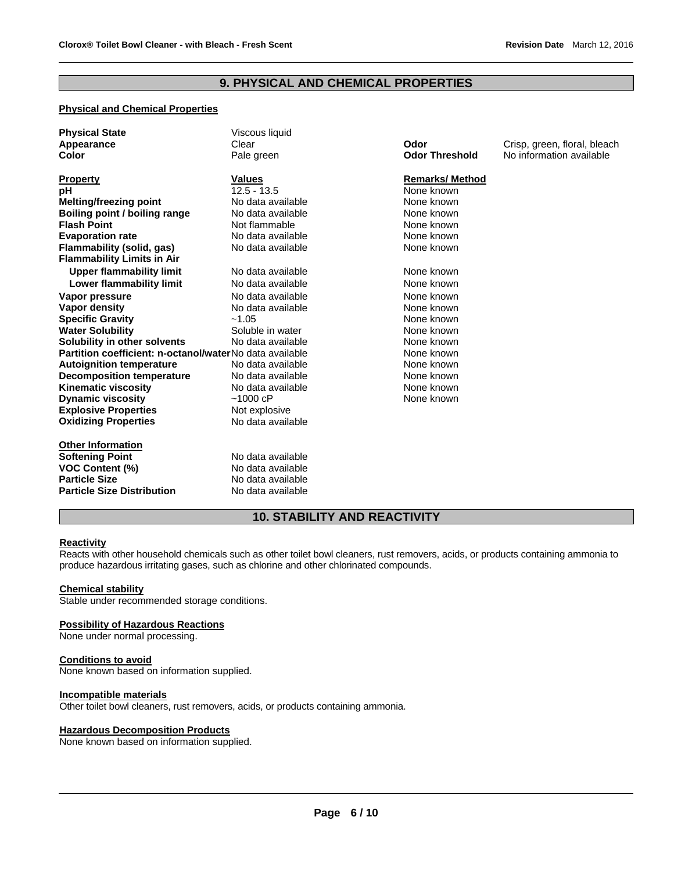# **9. PHYSICAL AND CHEMICAL PROPERTIES**

# **Physical and Chemical Properties**

| <b>Physical State</b><br>Appearance<br>Color                          | Viscous liquid<br>Clear<br>Pale green | Odor<br><b>Odor Threshold</b> | Crisp, green, floral, bleach<br>No information available |
|-----------------------------------------------------------------------|---------------------------------------|-------------------------------|----------------------------------------------------------|
| <b>Property</b>                                                       | <b>Values</b>                         | <b>Remarks/Method</b>         |                                                          |
| рH                                                                    | $12.5 - 13.5$                         | None known                    |                                                          |
| <b>Melting/freezing point</b>                                         | No data available                     | None known                    |                                                          |
| Boiling point / boiling range                                         | No data available                     | None known                    |                                                          |
| <b>Flash Point</b>                                                    | Not flammable                         | None known                    |                                                          |
| <b>Evaporation rate</b>                                               | No data available                     | None known                    |                                                          |
| <b>Flammability (solid, gas)</b><br><b>Flammability Limits in Air</b> | No data available                     | None known                    |                                                          |
| <b>Upper flammability limit</b>                                       | No data available                     | None known                    |                                                          |
| <b>Lower flammability limit</b>                                       | No data available                     | None known                    |                                                          |
| Vapor pressure                                                        | No data available                     | None known                    |                                                          |
| <b>Vapor density</b>                                                  | No data available                     | None known                    |                                                          |
| <b>Specific Gravity</b>                                               | $-1.05$                               | None known                    |                                                          |
| <b>Water Solubility</b>                                               | Soluble in water                      | None known                    |                                                          |
| Solubility in other solvents                                          | No data available                     | None known                    |                                                          |
| Partition coefficient: n-octanol/waterNo data available               |                                       | None known                    |                                                          |
| <b>Autoignition temperature</b>                                       | No data available                     | None known                    |                                                          |
| <b>Decomposition temperature</b>                                      | No data available                     | None known                    |                                                          |
| <b>Kinematic viscosity</b>                                            | No data available                     | None known                    |                                                          |
| <b>Dynamic viscosity</b>                                              | ~1000~cP                              | None known                    |                                                          |
| <b>Explosive Properties</b>                                           | Not explosive                         |                               |                                                          |
| <b>Oxidizing Properties</b>                                           | No data available                     |                               |                                                          |
| <b>Other Information</b>                                              |                                       |                               |                                                          |
| <b>Softening Point</b>                                                | No data available                     |                               |                                                          |
| <b>VOC Content (%)</b>                                                | No data available                     |                               |                                                          |
| <b>Particle Size</b>                                                  | No data available                     |                               |                                                          |
| <b>Particle Size Distribution</b>                                     | No data available                     |                               |                                                          |

# **10. STABILITY AND REACTIVITY**

### **Reactivity**

Reacts with other household chemicals such as other toilet bowl cleaners, rust removers, acids, or products containing ammonia to produce hazardous irritating gases, such as chlorine and other chlorinated compounds.

### **Chemical stability**

Stable under recommended storage conditions.

#### **Possibility of Hazardous Reactions**

None under normal processing.

### **Conditions to avoid**

None known based on information supplied.

# **Incompatible materials**

Other toilet bowl cleaners, rust removers, acids, or products containing ammonia.

#### **Hazardous Decomposition Products**

None known based on information supplied.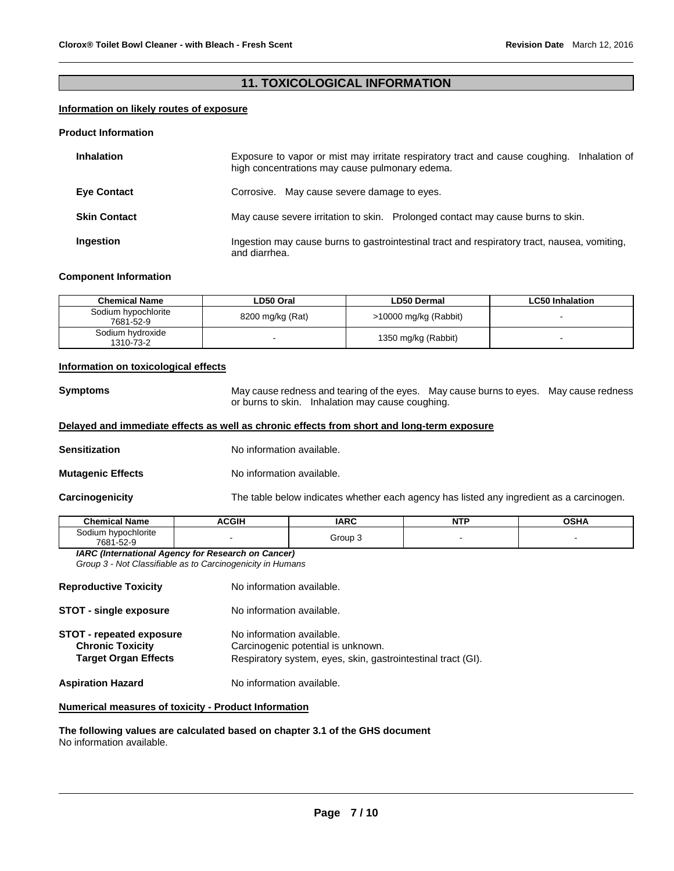# **11. TOXICOLOGICAL INFORMATION**

# **Information on likely routes of exposure**

### **Product Information**

| <b>Inhalation</b>   | Exposure to vapor or mist may irritate respiratory tract and cause coughing. Inhalation of<br>high concentrations may cause pulmonary edema. |
|---------------------|----------------------------------------------------------------------------------------------------------------------------------------------|
| <b>Eye Contact</b>  | Corrosive. May cause severe damage to eyes.                                                                                                  |
| <b>Skin Contact</b> | May cause severe irritation to skin. Prolonged contact may cause burns to skin.                                                              |
| Ingestion           | Ingestion may cause burns to gastrointestinal tract and respiratory tract, nausea, vomiting,<br>and diarrhea.                                |

### **Component Information**

| <b>Chemical Name</b>             | LD50 Oral        | <b>LD50 Dermal</b>    | <b>LC50 Inhalation</b> |
|----------------------------------|------------------|-----------------------|------------------------|
| Sodium hypochlorite<br>7681-52-9 | 8200 mg/kg (Rat) | >10000 mg/kg (Rabbit) |                        |
| Sodium hydroxide<br>1310-73-2    |                  | 1350 mg/kg (Rabbit)   |                        |

### **Information on toxicological effects**

**Symptoms** May cause redness and tearing of the eyes. May cause burns to eyes. May cause redness or burns to skin. Inhalation may cause coughing.

### **Delayed and immediate effects as well as chronic effects from short and long-term exposure**

- **Sensitization No information available.**
- **Mutagenic Effects No information available.**

**Carcinogenicity** The table below indicates whether each agency has listed any ingredient as a carcinogen.

| i el Name<br>Chemica.                                | <b>ACGIH</b> | <b>IARC</b> | $-$<br>N<br>. | OSHA |
|------------------------------------------------------|--------------|-------------|---------------|------|
| hypochlorite<br>30dium<br>$\sim$ $\sim$<br>7681-52-9 |              | Group       |               |      |

*IARC (International Agency for Research on Cancer) Group 3 - Not Classifiable as to Carcinogenicity in Humans* 

|                                                            | No information available.                                       |
|------------------------------------------------------------|-----------------------------------------------------------------|
| <b>Reproductive Toxicity</b>                               |                                                                 |
| <b>STOT - single exposure</b>                              | No information available.                                       |
| <b>STOT - repeated exposure</b><br><b>Chronic Toxicity</b> | No information available.<br>Carcinogenic potential is unknown. |
| <b>Target Organ Effects</b>                                | Respiratory system, eyes, skin, gastrointestinal tract (GI).    |
| <b>Aspiration Hazard</b>                                   | No information available.                                       |

# **Numerical measures of toxicity - Product Information**

**The following values are calculated based on chapter 3.1 of the GHS document** No information available.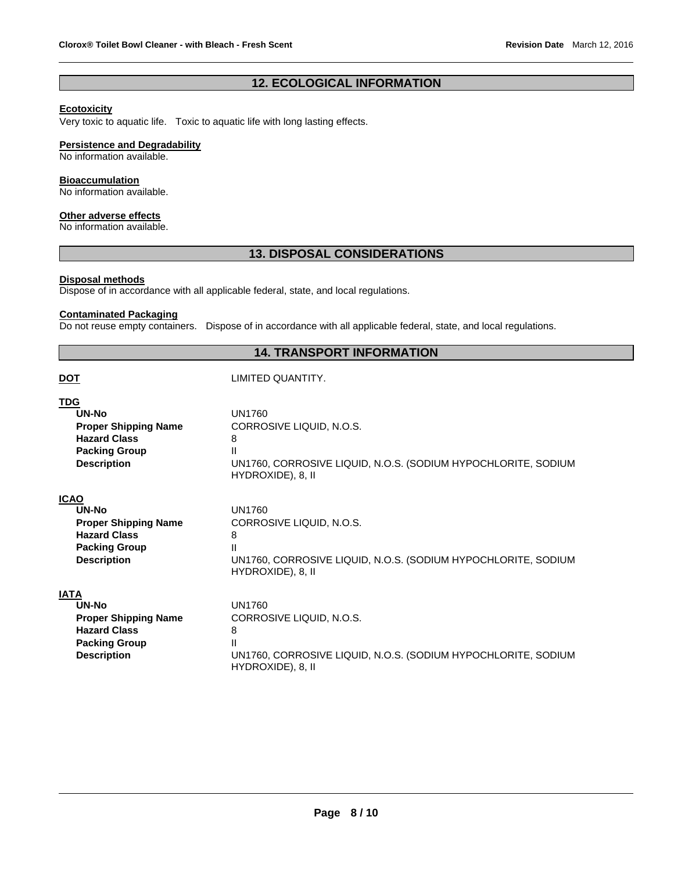# **12. ECOLOGICAL INFORMATION**

# **Ecotoxicity**

Very toxic to aquatic life. Toxic to aquatic life with long lasting effects.

### **Persistence and Degradability**

No information available.

### **Bioaccumulation**

No information available.

### **Other adverse effects**

No information available.

# **13. DISPOSAL CONSIDERATIONS**

### **Disposal methods**

Dispose of in accordance with all applicable federal, state, and local regulations.

# **Contaminated Packaging**

Do not reuse empty containers. Dispose of in accordance with all applicable federal, state, and local regulations.

# **14. TRANSPORT INFORMATION**

| <u>DOT</u>                  | LIMITED QUANTITY.                                             |
|-----------------------------|---------------------------------------------------------------|
| TDG                         | <b>UN1760</b>                                                 |
| UN-No                       | CORROSIVE LIQUID, N.O.S.                                      |
| <b>Proper Shipping Name</b> | 8                                                             |
| <b>Hazard Class</b>         | Ш                                                             |
| <b>Packing Group</b>        | UN1760, CORROSIVE LIQUID, N.O.S. (SODIUM HYPOCHLORITE, SODIUM |
| <b>Description</b>          | HYDROXIDE), 8, II                                             |
| ICAO                        | <b>UN1760</b>                                                 |
| UN-No                       | CORROSIVE LIQUID, N.O.S.                                      |
| <b>Proper Shipping Name</b> | 8                                                             |
| <b>Hazard Class</b>         | Ш                                                             |
| <b>Packing Group</b>        | UN1760, CORROSIVE LIQUID, N.O.S. (SODIUM HYPOCHLORITE, SODIUM |
| <b>Description</b>          | HYDROXIDE), 8, II                                             |
| IATA                        | <b>UN1760</b>                                                 |
| UN-No                       | CORROSIVE LIQUID, N.O.S.                                      |
| <b>Proper Shipping Name</b> | 8                                                             |
| <b>Hazard Class</b>         | Ш                                                             |
| <b>Packing Group</b>        | UN1760, CORROSIVE LIQUID, N.O.S. (SODIUM HYPOCHLORITE, SODIUM |
| <b>Description</b>          | HYDROXIDE), 8, II                                             |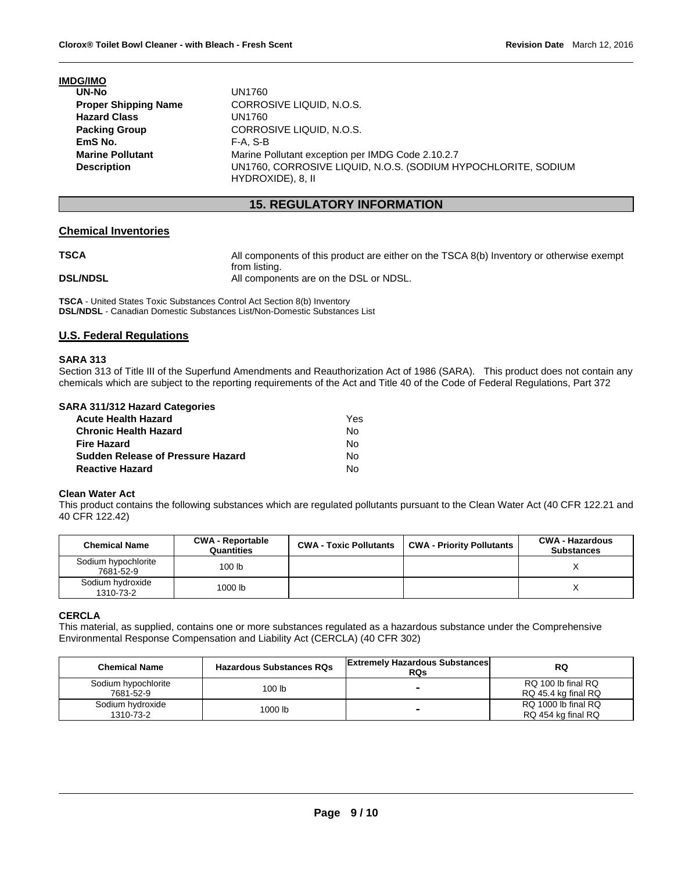### **IMDG/IMO**

| UN-No                       | UN1760                                                                             |
|-----------------------------|------------------------------------------------------------------------------------|
| <b>Proper Shipping Name</b> | CORROSIVE LIQUID, N.O.S.                                                           |
| <b>Hazard Class</b>         | UN1760                                                                             |
| <b>Packing Group</b>        | CORROSIVE LIQUID, N.O.S.                                                           |
| EmS No.                     | F-A. S-B                                                                           |
| <b>Marine Pollutant</b>     | Marine Pollutant exception per IMDG Code 2.10.2.7                                  |
| <b>Description</b>          | UN1760, CORROSIVE LIQUID, N.O.S. (SODIUM HYPOCHLORITE, SODIUM<br>HYDROXIDE), 8, II |

# **15. REGULATORY INFORMATION**

### **Chemical Inventories**

**TSCA All components of this product are either on the TSCA 8(b) Inventory or otherwise exempt** 

from listing. **DSL/NDSL All components are on the DSL or NDSL.** 

**TSCA** - United States Toxic Substances Control Act Section 8(b) Inventory **DSL/NDSL** - Canadian Domestic Substances List/Non-Domestic Substances List

# **U.S. Federal Regulations**

### **SARA 313**

Section 313 of Title III of the Superfund Amendments and Reauthorization Act of 1986 (SARA). This product does not contain any chemicals which are subject to the reporting requirements of the Act and Title 40 of the Code of Federal Regulations, Part 372

### **SARA 311/312 Hazard Categories**

| Acute Health Hazard               | Yes |
|-----------------------------------|-----|
| Chronic Health Hazard             | N٥  |
| Fire Hazard                       | N٥  |
| Sudden Release of Pressure Hazard | N٥  |
| Reactive Hazard                   | N٥  |

#### **Clean Water Act**

This product contains the following substances which are regulated pollutants pursuant to the Clean Water Act (40 CFR 122.21 and 40 CFR 122.42)

| <b>Chemical Name</b>             | <b>CWA - Reportable</b><br>Quantities | <b>CWA - Toxic Pollutants</b> | <b>CWA - Priority Pollutants</b> | <b>CWA - Hazardous</b><br><b>Substances</b> |
|----------------------------------|---------------------------------------|-------------------------------|----------------------------------|---------------------------------------------|
| Sodium hypochlorite<br>7681-52-9 | 100 <sub>lb</sub>                     |                               |                                  |                                             |
| Sodium hydroxide<br>1310-73-2    | 1000 lb                               |                               |                                  |                                             |

### **CERCLA**

This material, as supplied, contains one or more substances regulated as a hazardous substance under the Comprehensive Environmental Response Compensation and Liability Act (CERCLA) (40 CFR 302)

| <b>Chemical Name</b>             | <b>Hazardous Substances RQs</b> | <b>Extremely Hazardous Substances</b><br><b>RQs</b> | <b>RQ</b>                                 |
|----------------------------------|---------------------------------|-----------------------------------------------------|-------------------------------------------|
| Sodium hypochlorite<br>7681-52-9 | 100 <sub>lb</sub>               | -                                                   | RQ 100 lb final RQ<br>RQ 45.4 kg final RQ |
| Sodium hydroxide<br>1310-73-2    | 1000 lb                         | -                                                   | RQ 1000 lb final RQ<br>RQ 454 kg final RQ |